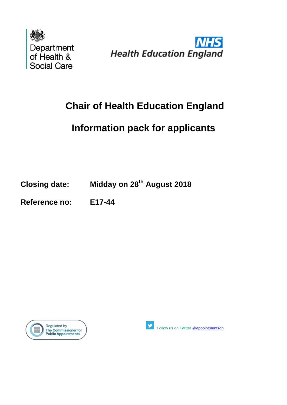



# **Chair of Health Education England**

# **Information pack for applicants**

**Closing date: Midday on 28th August 2018**

**Reference no: E17-44**





Follow us on Twitter [@appointmentsdh](https://twitter.com/search?q=%40appointmentsdh&src=typd)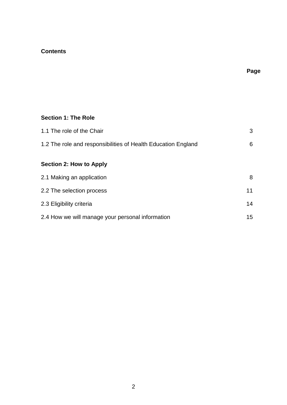# **Contents**

# **Page**

# **Section 1: The Role**

| 1.1 The role of the Chair                                     |  |
|---------------------------------------------------------------|--|
| 1.2 The role and responsibilities of Health Education England |  |

# **Section 2: How to Apply**

| 2.1 Making an application                        | 8  |
|--------------------------------------------------|----|
| 2.2 The selection process                        | 11 |
| 2.3 Eligibility criteria                         | 14 |
| 2.4 How we will manage your personal information | 15 |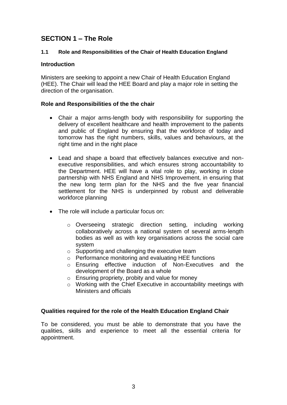# **SECTION 1 – The Role**

# **1.1 Role and Responsibilities of the Chair of Health Education England**

# **Introduction**

Ministers are seeking to appoint a new Chair of Health Education England (HEE). The Chair will lead the HEE Board and play a major role in setting the direction of the organisation.

# **Role and Responsibilities of the the chair**

- Chair a major arms-length body with responsibility for supporting the delivery of excellent healthcare and health improvement to the patients and public of England by ensuring that the workforce of today and tomorrow has the right numbers, skills, values and behaviours, at the right time and in the right place
- Lead and shape a board that effectively balances executive and nonexecutive responsibilities, and which ensures strong accountability to the Department. HEE will have a vital role to play, working in close partnership with NHS England and NHS Improvement, in ensuring that the new long term plan for the NHS and the five year financial settlement for the NHS is underpinned by robust and deliverable workforce planning
- The role will include a particular focus on:
	- o Overseeing strategic direction setting, including working collaboratively across a national system of several arms-length bodies as well as with key organisations across the social care system
	- o Supporting and challenging the executive team
	- o Performance monitoring and evaluating HEE functions
	- o Ensuring effective induction of Non-Executives and the development of the Board as a whole
	- o Ensuring propriety, probity and value for money
	- o Working with the Chief Executive in accountability meetings with Ministers and officials

# **Qualities required for the role of the Health Education England Chair**

To be considered, you must be able to demonstrate that you have the qualities, skills and experience to meet all the essential criteria for appointment.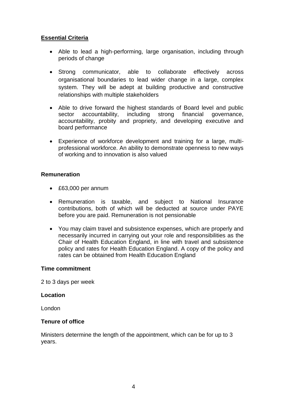# **Essential Criteria**

- Able to lead a high-performing, large organisation, including through periods of change
- Strong communicator, able to collaborate effectively across organisational boundaries to lead wider change in a large, complex system. They will be adept at building productive and constructive relationships with multiple stakeholders
- Able to drive forward the highest standards of Board level and public sector accountability, including strong financial governance, accountability, probity and propriety, and developing executive and board performance
- Experience of workforce development and training for a large, multiprofessional workforce. An ability to demonstrate openness to new ways of working and to innovation is also valued

# **Remuneration**

- £63,000 per annum
- Remuneration is taxable, and subject to National Insurance contributions, both of which will be deducted at source under PAYE before you are paid. Remuneration is not pensionable
- You may claim travel and subsistence expenses, which are properly and necessarily incurred in carrying out your role and responsibilities as the Chair of Health Education England, in line with travel and subsistence policy and rates for Health Education England. A copy of the policy and rates can be obtained from Health Education England

### **Time commitment**

2 to 3 days per week

### **Location**

London

### **Tenure of office**

Ministers determine the length of the appointment, which can be for up to 3 years.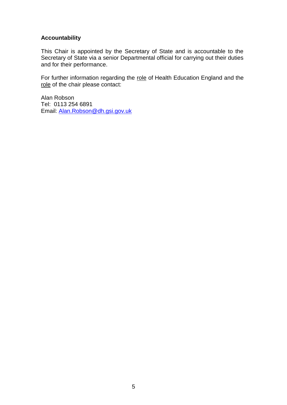# **Accountability**

This Chair is appointed by the Secretary of State and is accountable to the Secretary of State via a senior Departmental official for carrying out their duties and for their performance.

For further information regarding the role of Health Education England and the role of the chair please contact:

Alan Robson Tel: 0113 254 6891 Email: [Alan.Robson@dh.gsi.gov.uk](mailto:Alan.Robson@dh.gsi.gov.uk)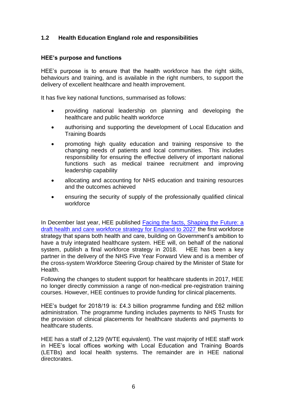# **1.2 Health Education England role and responsibilities**

# **HEE's purpose and functions**

HEE's purpose is to ensure that the health workforce has the right skills, behaviours and training, and is available in the right numbers, to support the delivery of excellent healthcare and health improvement.

It has five key national functions, summarised as follows:

- providing national leadership on planning and developing the healthcare and public health workforce
- authorising and supporting the development of Local Education and Training Boards
- promoting high quality education and training responsive to the changing needs of patients and local communities. This includes responsibility for ensuring the effective delivery of important national functions such as medical trainee recruitment and improving leadership capability
- allocating and accounting for NHS education and training resources and the outcomes achieved
- ensuring the security of supply of the professionally qualified clinical workforce

In December last year, HEE published [Facing the facts, Shaping](https://www.hee.nhs.uk/our-work/planning-commissioning/workforce-strategy) the Future: a [draft health and care workforce strategy for England to 2027](https://www.hee.nhs.uk/our-work/planning-commissioning/workforce-strategy) the first workforce strategy that spans both health and care, building on Government's ambition to have a truly integrated healthcare system. HEE will, on behalf of the national system, publish a final workforce strategy in 2018. HEE has been a key partner in the delivery of the NHS Five Year Forward View and is a member of the cross-system Workforce Steering Group chaired by the Minister of State for Health.

Following the changes to student support for healthcare students in 2017, HEE no longer directly commission a range of non-medical pre-registration training courses. However, HEE continues to provide funding for clinical placements.

HEE's budget for 2018/19 is: £4.3 billion programme funding and £62 million administration. The programme funding includes payments to NHS Trusts for the provision of clinical placements for healthcare students and payments to healthcare students.

HEE has a staff of 2,129 (WTE equivalent). The vast majority of HEE staff work in HEE's local offices working with Local Education and Training Boards (LETBs) and local health systems. The remainder are in HEE national directorates.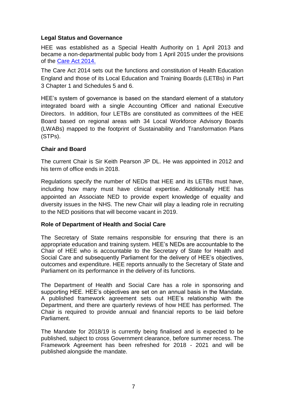# **Legal Status and Governance**

HEE was established as a Special Health Authority on 1 April 2013 and became a non-departmental public body from 1 April 2015 under the provisions of the [Care Act 2014.](http://www.legislation.gov.uk/ukpga/2014/23)

The Care Act 2014 sets out the functions and constitution of Health Education England and those of its Local Education and Training Boards (LETBs) in Part 3 Chapter 1 and Schedules 5 and 6.

HEE's system of governance is based on the standard element of a statutory integrated board with a single Accounting Officer and national Executive Directors. In addition, four LETBs are constituted as committees of the HEE Board based on regional areas with 34 Local Workforce Advisory Boards (LWABs) mapped to the footprint of Sustainability and Transformation Plans (STPs).

# **Chair and Board**

The current Chair is Sir Keith Pearson JP DL. He was appointed in 2012 and his term of office ends in 2018.

Regulations specify the number of NEDs that HEE and its LETBs must have, including how many must have clinical expertise. Additionally HEE has appointed an Associate NED to provide expert knowledge of equality and diversity issues in the NHS. The new Chair will play a leading role in recruiting to the NED positions that will become vacant in 2019.

### **Role of Department of Health and Social Care**

The Secretary of State remains responsible for ensuring that there is an appropriate education and training system. HEE's NEDs are accountable to the Chair of HEE who is accountable to the Secretary of State for Health and Social Care and subsequently Parliament for the delivery of HEE's objectives, outcomes and expenditure. HEE reports annually to the Secretary of State and Parliament on its performance in the delivery of its functions.

The Department of Health and Social Care has a role in sponsoring and supporting HEE. HEE's objectives are set on an annual basis in the Mandate. A published framework agreement sets out HEE's relationship with the Department, and there are quarterly reviews of how HEE has performed. The Chair is required to provide annual and financial reports to be laid before Parliament.

The Mandate for 2018/19 is currently being finalised and is expected to be published, subject to cross Government clearance, before summer recess. The Framework Agreement has been refreshed for 2018 - 2021 and will be published alongside the mandate.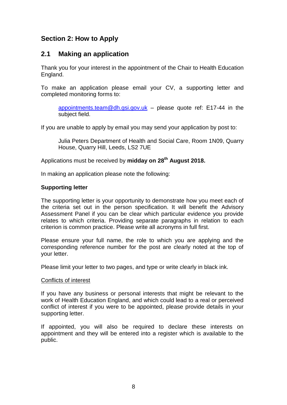# **Section 2: How to Apply**

# **2.1 Making an application**

Thank you for your interest in the appointment of the Chair to Health Education England.

To make an application please email your CV, a supporting letter and completed monitoring forms to:

[appointments.team@dh.gsi.gov.uk](mailto:appointments.team@dh.gsi.gov.uk) – please quote ref: E17-44 in the subject field.

If you are unable to apply by email you may send your application by post to:

Julia Peters Department of Health and Social Care, Room 1N09, Quarry House, Quarry Hill, Leeds, LS2 7UE

Applications must be received by **midday on 28th August 2018.**

In making an application please note the following:

### **Supporting letter**

The supporting letter is your opportunity to demonstrate how you meet each of the criteria set out in the person specification. It will benefit the Advisory Assessment Panel if you can be clear which particular evidence you provide relates to which criteria. Providing separate paragraphs in relation to each criterion is common practice. Please write all acronyms in full first.

Please ensure your full name, the role to which you are applying and the corresponding reference number for the post are clearly noted at the top of your letter.

Please limit your letter to two pages, and type or write clearly in black ink.

### Conflicts of interest

If you have any business or personal interests that might be relevant to the work of Health Education England, and which could lead to a real or perceived conflict of interest if you were to be appointed, please provide details in your supporting letter.

If appointed, you will also be required to declare these interests on appointment and they will be entered into a register which is available to the public.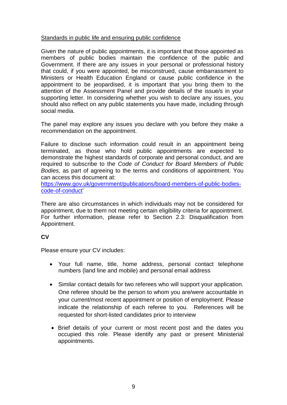# Standards in public life and ensuring public confidence

Given the nature of public appointments, it is important that those appointed as members of public bodies maintain the confidence of the public and Government. If there are any issues in your personal or professional history that could, if you were appointed, be misconstrued, cause embarrassment to Ministers or Health Education England or cause public confidence in the appointment to be jeopardised, it is important that you bring them to the attention of the Assessment Panel and provide details of the issue/s in your supporting letter. In considering whether you wish to declare any issues, you should also reflect on any public statements you have made, including through social media.

The panel may explore any issues you declare with you before they make a recommendation on the appointment.

Failure to disclose such information could result in an appointment being terminated, as those who hold public appointments are expected to demonstrate the highest standards of corporate and personal conduct, and are required to subscribe to the *Code of Conduct for Board Members of Public Bodies,* as part of agreeing to the terms and conditions of appointment. You can access this document at:

[https://www.gov.uk/government/publications/board-members-of-public-bodies](https://www.gov.uk/government/publications/board-members-of-public-bodies-code-of-conduct)[code-of-conduct'](https://www.gov.uk/government/publications/board-members-of-public-bodies-code-of-conduct)

There are also circumstances in which individuals may not be considered for appointment, due to them not meeting certain eligibility criteria for appointment. For further information, please refer to Section 2.3: Disqualification from Appointment.

# **CV**

Please ensure your CV includes:

- Your full name, title, home address, personal contact telephone numbers (land line and mobile) and personal email address
- Similar contact details for two referees who will support your application. One referee should be the person to whom you are/were accountable in your current/most recent appointment or position of employment. Please indicate the relationship of each referee to you. References will be requested for short-listed candidates prior to interview
- Brief details of your current or most recent post and the dates you occupied this role. Please identify any past or present Ministerial appointments.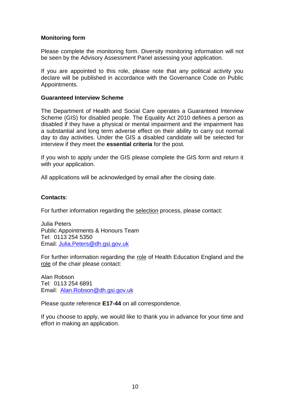# **Monitoring form**

Please complete the monitoring form. Diversity monitoring information will not be seen by the Advisory Assessment Panel assessing your application.

If you are appointed to this role, please note that any political activity you declare will be published in accordance with the Governance Code on Public Appointments.

#### **Guaranteed Interview Scheme**

The Department of Health and Social Care operates a Guaranteed Interview Scheme (GIS) for disabled people. The Equality Act 2010 defines a person as disabled if they have a physical or mental impairment and the impairment has a substantial and long term adverse effect on their ability to carry out normal day to day activities. Under the GIS a disabled candidate will be selected for interview if they meet the **essential criteria** for the post.

If you wish to apply under the GIS please complete the GIS form and return it with your application.

All applications will be acknowledged by email after the closing date.

#### **Contacts**:

For further information regarding the selection process, please contact:

Julia Peters Public Appointments & Honours Team Tel: 0113 254 5350 Email: [Julia.Peters@dh.gsi.gov.uk](mailto:Julia.Peters@dh.gsi.gov.uk)

For further information regarding the role of Health Education England and the role of the chair please contact:

Alan Robson Tel: 0113 254 6891 Email: [Alan.Robson@dh.gsi.gov.uk](mailto:Alan.Robson@dh.gsi.gov.uk)

Please quote reference **E17-44** on all correspondence.

If you choose to apply, we would like to thank you in advance for your time and effort in making an application.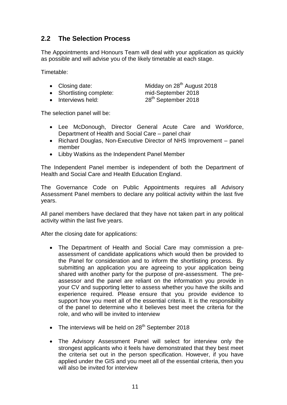# **2.2 The Selection Process**

The Appointments and Honours Team will deal with your application as quickly as possible and will advise you of the likely timetable at each stage.

Timetable:

- 
- Shortlisting complete: mid-September 2018
- 

• Closing date: Midday on 28<sup>th</sup> August 2018  $\bullet$  Interviews held:  $28<sup>th</sup>$  September 2018

The selection panel will be:

- Lee McDonough, Director General Acute Care and Workforce, Department of Health and Social Care – panel chair
- Richard Douglas, Non-Executive Director of NHS Improvement panel member
- Libby Watkins as the Independent Panel Member

The Independent Panel member is independent of both the Department of Health and Social Care and Health Education England.

The Governance Code on Public Appointments requires all Advisory Assessment Panel members to declare any political activity within the last five years.

All panel members have declared that they have not taken part in any political activity within the last five years.

After the closing date for applications:

- The Department of Health and Social Care may commission a preassessment of candidate applications which would then be provided to the Panel for consideration and to inform the shortlisting process. By submitting an application you are agreeing to your application being shared with another party for the purpose of pre-assessment. The preassessor and the panel are reliant on the information you provide in your CV and supporting letter to assess whether you have the skills and experience required. Please ensure that you provide evidence to support how you meet all of the essential criteria. It is the responsibility of the panel to determine who it believes best meet the criteria for the role, and who will be invited to interview
- $\bullet$  The interviews will be held on 28<sup>th</sup> September 2018
- The Advisory Assessment Panel will select for interview only the strongest applicants who it feels have demonstrated that they best meet the criteria set out in the person specification. However, if you have applied under the GIS and you meet all of the essential criteria, then you will also be invited for interview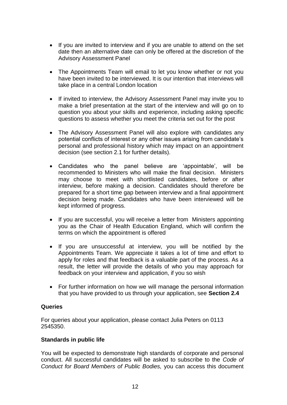- If you are invited to interview and if you are unable to attend on the set date then an alternative date can only be offered at the discretion of the Advisory Assessment Panel
- The Appointments Team will email to let you know whether or not you have been invited to be interviewed. It is our intention that interviews will take place in a central London location
- If invited to interview, the Advisory Assessment Panel may invite you to make a brief presentation at the start of the interview and will go on to question you about your skills and experience, including asking specific questions to assess whether you meet the criteria set out for the post
- The Advisory Assessment Panel will also explore with candidates any potential conflicts of interest or any other issues arising from candidate's personal and professional history which may impact on an appointment decision (see section 2.1 for further details).
- Candidates who the panel believe are 'appointable', will be recommended to Ministers who will make the final decision. Ministers may choose to meet with shortlisted candidates, before or after interview, before making a decision. Candidates should therefore be prepared for a short time gap between interview and a final appointment decision being made. Candidates who have been interviewed will be kept informed of progress.
- If you are successful, you will receive a letter from Ministers appointing you as the Chair of Health Education England, which will confirm the terms on which the appointment is offered
- If you are unsuccessful at interview, you will be notified by the Appointments Team. We appreciate it takes a lot of time and effort to apply for roles and that feedback is a valuable part of the process. As a result, the letter will provide the details of who you may approach for feedback on your interview and application, if you so wish
- For further information on how we will manage the personal information that you have provided to us through your application, see **Section 2.4**

### **Queries**

For queries about your application, please contact Julia Peters on 0113 2545350.

### **Standards in public life**

You will be expected to demonstrate high standards of corporate and personal conduct. All successful candidates will be asked to subscribe to the *Code of Conduct for Board Members of Public Bodies,* you can access this document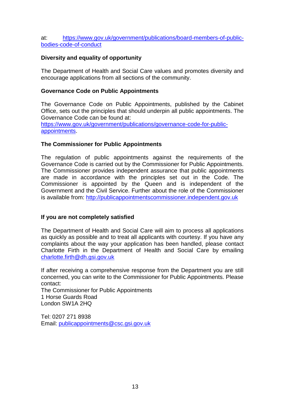at: [https://www.gov.uk/government/publications/board-members-of-public](https://www.gov.uk/government/publications/board-members-of-public-bodies-code-of-conduct)[bodies-code-of-conduct](https://www.gov.uk/government/publications/board-members-of-public-bodies-code-of-conduct)

# **Diversity and equality of opportunity**

The Department of Health and Social Care values and promotes diversity and encourage applications from all sections of the community.

### **Governance Code on Public Appointments**

The Governance Code on Public Appointments, published by the Cabinet Office, sets out the principles that should underpin all public appointments. The Governance Code can be found at: [https://www.gov.uk/government/publications/governance-code-for-public](https://www.gov.uk/government/publications/governance-code-for-public-appointments)[appointments.](https://www.gov.uk/government/publications/governance-code-for-public-appointments)

### **The Commissioner for Public Appointments**

The regulation of public appointments against the requirements of the Governance Code is carried out by the Commissioner for Public Appointments. The Commissioner provides independent assurance that public appointments are made in accordance with the principles set out in the Code. The Commissioner is appointed by the Queen and is independent of the Government and the Civil Service. Further about the role of the Commissioner is available from: [http://publicappointmentscommissioner.independent.gov.uk](http://publicappointmentscommissioner.independent.gov.uk/) 

### **If you are not completely satisfied**

The Department of Health and Social Care will aim to process all applications as quickly as possible and to treat all applicants with courtesy. If you have any complaints about the way your application has been handled, please contact Charlotte Firth in the Department of Health and Social Care by emailing [charlotte.firth@dh.gsi.gov.uk](mailto:charlotte.firth@dh.gsi.gov.uk)

If after receiving a comprehensive response from the Department you are still concerned, you can write to the Commissioner for Public Appointments. Please contact:

The Commissioner for Public Appointments 1 Horse Guards Road London SW1A 2HQ

Tel: 0207 271 8938 Email: [publicappointments@csc.gsi.gov.uk](mailto:publicappointments@csc.gsi.gov.uk)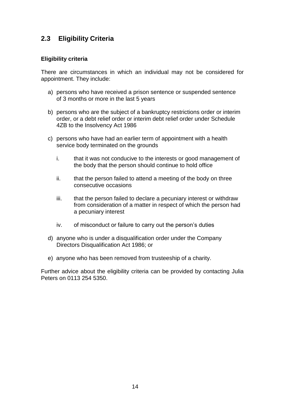# **2.3 Eligibility Criteria**

### **Eligibility criteria**

There are circumstances in which an individual may not be considered for appointment. They include:

- a) persons who have received a prison sentence or suspended sentence of 3 months or more in the last 5 years
- b) persons who are the subject of a bankruptcy restrictions order or interim order, or a debt relief order or interim debt relief order under Schedule 4ZB to the Insolvency Act 1986
- c) persons who have had an earlier term of appointment with a health service body terminated on the grounds
	- i. that it was not conducive to the interests or good management of the body that the person should continue to hold office
	- ii. that the person failed to attend a meeting of the body on three consecutive occasions
	- iii. that the person failed to declare a pecuniary interest or withdraw from consideration of a matter in respect of which the person had a pecuniary interest
	- iv. of misconduct or failure to carry out the person's duties
- d) anyone who is under a disqualification order under the Company Directors Disqualification Act 1986; or
- e) anyone who has been removed from trusteeship of a charity.

Further advice about the eligibility criteria can be provided by contacting Julia Peters on 0113 254 5350.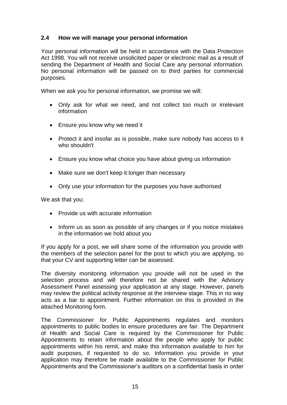# **2.4 How we will manage your personal information**

Your personal information will be held in accordance with the Data Protection Act 1998. You will not receive unsolicited paper or electronic mail as a result of sending the Department of Health and Social Care any personal information. No personal information will be passed on to third parties for commercial purposes.

When we ask you for personal information, we promise we will:

- Only ask for what we need, and not collect too much or irrelevant information
- Ensure you know why we need it
- Protect it and insofar as is possible, make sure nobody has access to it who shouldn't
- Ensure you know what choice you have about giving us information
- Make sure we don't keep it longer than necessary
- Only use your information for the purposes you have authorised

We ask that you:

- Provide us with accurate information
- Inform us as soon as possible of any changes or if you notice mistakes in the information we hold about you

If you apply for a post, we will share some of the information you provide with the members of the selection panel for the post to which you are applying, so that your CV and supporting letter can be assessed.

The diversity monitoring information you provide will not be used in the selection process and will therefore not be shared with the Advisory Assessment Panel assessing your application at any stage. However, panels may review the political activity response at the interview stage. This in no way acts as a bar to appointment. Further information on this is provided in the attached Monitoring form.

The Commissioner for Public Appointments regulates and monitors appointments to public bodies to ensure procedures are fair. The Department of Health and Social Care is required by the Commissioner for Public Appointments to retain information about the people who apply for public appointments within his remit, and make this information available to him for audit purposes, if requested to do so. Information you provide in your application may therefore be made available to the Commissioner for Public Appointments and the Commissioner's auditors on a confidential basis in order